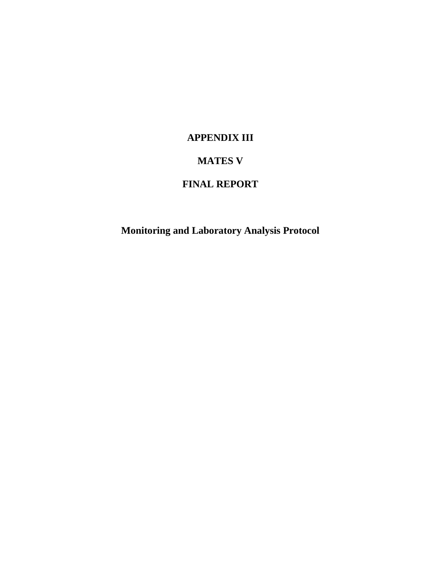# **APPENDIX III**

# **MATES V**

# **FINAL REPORT**

**Monitoring and Laboratory Analysis Protocol**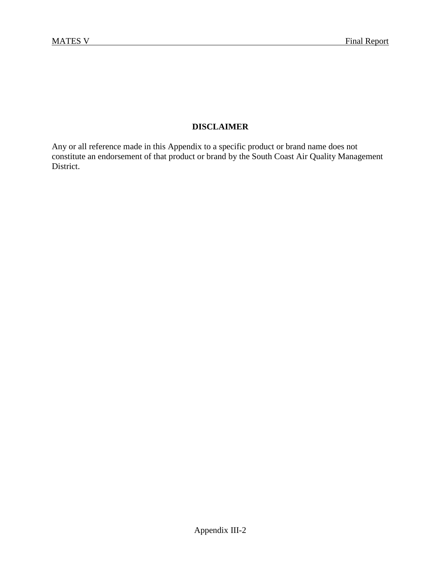#### **DISCLAIMER**

Any or all reference made in this Appendix to a specific product or brand name does not constitute an endorsement of that product or brand by the South Coast Air Quality Management District.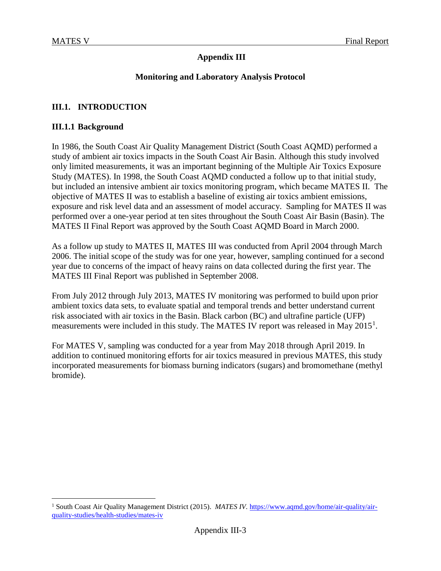#### **Appendix III**

#### **Monitoring and Laboratory Analysis Protocol**

#### **III.1. INTRODUCTION**

#### **III.1.1 Background**

In 1986, the South Coast Air Quality Management District (South Coast AQMD) performed a study of ambient air toxics impacts in the South Coast Air Basin. Although this study involved only limited measurements, it was an important beginning of the Multiple Air Toxics Exposure Study (MATES). In 1998, the South Coast AQMD conducted a follow up to that initial study, but included an intensive ambient air toxics monitoring program, which became MATES II. The objective of MATES II was to establish a baseline of existing air toxics ambient emissions, exposure and risk level data and an assessment of model accuracy. Sampling for MATES II was performed over a one-year period at ten sites throughout the South Coast Air Basin (Basin). The MATES II Final Report was approved by the South Coast AQMD Board in March 2000.

As a follow up study to MATES II, MATES III was conducted from April 2004 through March 2006. The initial scope of the study was for one year, however, sampling continued for a second year due to concerns of the impact of heavy rains on data collected during the first year. The MATES III Final Report was published in September 2008.

From July 2012 through July 2013, MATES IV monitoring was performed to build upon prior ambient toxics data sets, to evaluate spatial and temporal trends and better understand current risk associated with air toxics in the Basin. Black carbon (BC) and ultrafine particle (UFP) measurements were included in this study. The MATES IV report was released in May 20[1](#page-2-0)5<sup>1</sup>.

For MATES V, sampling was conducted for a year from May 2018 through April 2019. In addition to continued monitoring efforts for air toxics measured in previous MATES, this study incorporated measurements for biomass burning indicators (sugars) and bromomethane (methyl bromide).

<span id="page-2-0"></span><sup>&</sup>lt;sup>1</sup> South Coast Air Quality Management District (2015). *MATES IV.* [https://www.aqmd.gov/home/air-quality/air](https://www.aqmd.gov/home/air-quality/air-quality-studies/health-studies/mates-iv)[quality-studies/health-studies/mates-iv](https://www.aqmd.gov/home/air-quality/air-quality-studies/health-studies/mates-iv)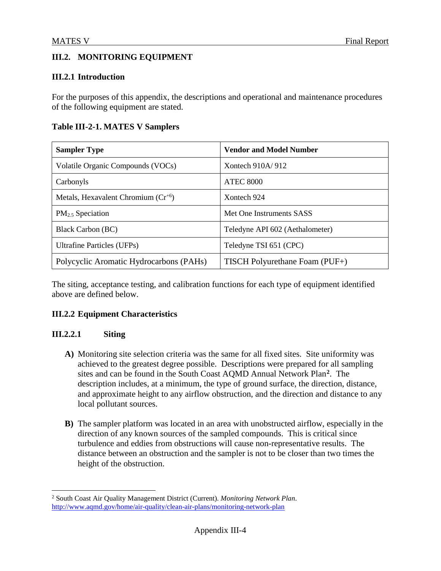### **III.2. MONITORING EQUIPMENT**

#### **III.2.1 Introduction**

For the purposes of this appendix, the descriptions and operational and maintenance procedures of the following equipment are stated.

#### **Table III-2-1. MATES V Samplers**

| <b>Sampler Type</b>                     | <b>Vendor and Model Number</b>  |
|-----------------------------------------|---------------------------------|
| Volatile Organic Compounds (VOCs)       | Xontech $910A/912$              |
| Carbonyls                               | <b>ATEC 8000</b>                |
| Metals, Hexavalent Chromium $(Cr^{+6})$ | Xontech 924                     |
| $PM2.5$ Speciation                      | Met One Instruments SASS        |
| <b>Black Carbon (BC)</b>                | Teledyne API 602 (Aethalometer) |
| <b>Ultrafine Particles (UFPs)</b>       | Teledyne TSI 651 (CPC)          |
| Polycyclic Aromatic Hydrocarbons (PAHs) | TISCH Polyurethane Foam (PUF+)  |

The siting, acceptance testing, and calibration functions for each type of equipment identified above are defined below.

#### **III.2.2 Equipment Characteristics**

#### **III.2.2.1 Siting**

- **A)** Monitoring site selection criteria was the same for all fixed sites. Site uniformity was achieved to the greatest degree possible. Descriptions were prepared for all sampling sites and can be found in the South Coast AQMD Annual Network Plan**[2](#page-3-0)**. The description includes, at a minimum, the type of ground surface, the direction, distance, and approximate height to any airflow obstruction, and the direction and distance to any local pollutant sources.
- **B)** The sampler platform was located in an area with unobstructed airflow, especially in the direction of any known sources of the sampled compounds. This is critical since turbulence and eddies from obstructions will cause non-representative results. The distance between an obstruction and the sampler is not to be closer than two times the height of the obstruction.

<span id="page-3-0"></span> <sup>2</sup> South Coast Air Quality Management District (Current). *Monitoring Network Plan*. <http://www.aqmd.gov/home/air-quality/clean-air-plans/monitoring-network-plan>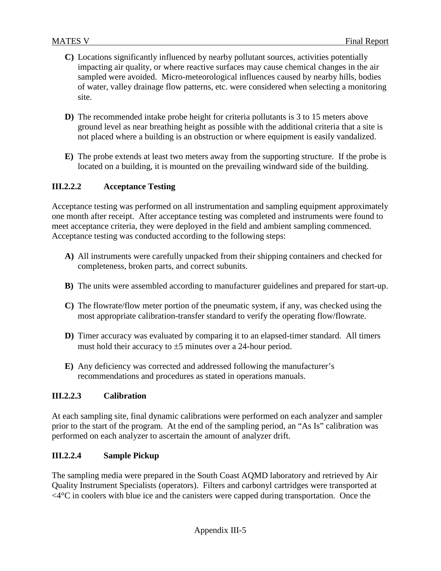- **C)** Locations significantly influenced by nearby pollutant sources, activities potentially impacting air quality, or where reactive surfaces may cause chemical changes in the air sampled were avoided. Micro-meteorological influences caused by nearby hills, bodies of water, valley drainage flow patterns, etc. were considered when selecting a monitoring site.
- **D)** The recommended intake probe height for criteria pollutants is 3 to 15 meters above ground level as near breathing height as possible with the additional criteria that a site is not placed where a building is an obstruction or where equipment is easily vandalized.
- **E)** The probe extends at least two meters away from the supporting structure. If the probe is located on a building, it is mounted on the prevailing windward side of the building.

#### **III.2.2.2 Acceptance Testing**

Acceptance testing was performed on all instrumentation and sampling equipment approximately one month after receipt. After acceptance testing was completed and instruments were found to meet acceptance criteria, they were deployed in the field and ambient sampling commenced. Acceptance testing was conducted according to the following steps:

- **A)** All instruments were carefully unpacked from their shipping containers and checked for completeness, broken parts, and correct subunits.
- **B)** The units were assembled according to manufacturer guidelines and prepared for start-up.
- **C)** The flowrate/flow meter portion of the pneumatic system, if any, was checked using the most appropriate calibration-transfer standard to verify the operating flow/flowrate.
- **D)** Timer accuracy was evaluated by comparing it to an elapsed-timer standard. All timers must hold their accuracy to  $\pm$ 5 minutes over a 24-hour period.
- **E)** Any deficiency was corrected and addressed following the manufacturer's recommendations and procedures as stated in operations manuals.

#### **III.2.2.3 Calibration**

At each sampling site, final dynamic calibrations were performed on each analyzer and sampler prior to the start of the program. At the end of the sampling period, an "As Is" calibration was performed on each analyzer to ascertain the amount of analyzer drift.

#### **III.2.2.4 Sample Pickup**

The sampling media were prepared in the South Coast AQMD laboratory and retrieved by Air Quality Instrument Specialists (operators). Filters and carbonyl cartridges were transported at  $\leq$ 4 $\degree$ C in coolers with blue ice and the canisters were capped during transportation. Once the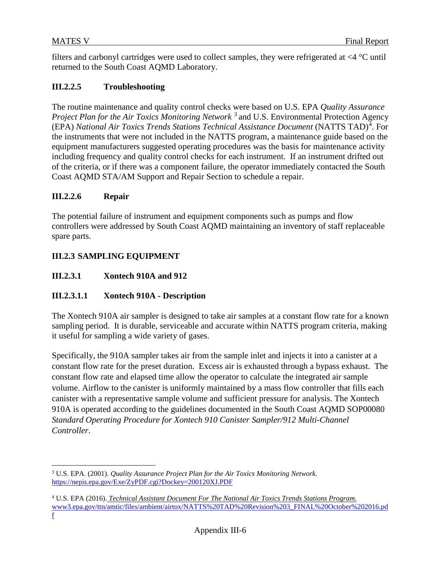filters and carbonyl cartridges were used to collect samples, they were refrigerated at <4 °C until returned to the South Coast AQMD Laboratory.

#### **III.2.2.5 Troubleshooting**

The routine maintenance and quality control checks were based on U.S. EPA *Quality Assurance Project Plan for the Air Toxics Monitoring Network*<sup>[3](#page-5-0)</sup> and U.S. Environmental Protection Agency (EPA) *National Air Toxics Trends Stations Technical Assistance Document* (NATTS TAD)<sup>[4](#page-5-1)</sup>. For the instruments that were not included in the NATTS program, a maintenance guide based on the equipment manufacturers suggested operating procedures was the basis for maintenance activity including frequency and quality control checks for each instrument. If an instrument drifted out of the criteria, or if there was a component failure, the operator immediately contacted the South Coast AQMD STA/AM Support and Repair Section to schedule a repair.

#### **III.2.2.6 Repair**

The potential failure of instrument and equipment components such as pumps and flow controllers were addressed by South Coast AQMD maintaining an inventory of staff replaceable spare parts.

### **III.2.3 SAMPLING EQUIPMENT**

**III.2.3.1 Xontech 910A and 912**

#### **III.2.3.1.1 Xontech 910A - Description**

The Xontech 910A air sampler is designed to take air samples at a constant flow rate for a known sampling period. It is durable, serviceable and accurate within NATTS program criteria, making it useful for sampling a wide variety of gases.

Specifically, the 910A sampler takes air from the sample inlet and injects it into a canister at a constant flow rate for the preset duration. Excess air is exhausted through a bypass exhaust. The constant flow rate and elapsed time allow the operator to calculate the integrated air sample volume. Airflow to the canister is uniformly maintained by a mass flow controller that fills each canister with a representative sample volume and sufficient pressure for analysis. The Xontech 910A is operated according to the guidelines documented in the South Coast AQMD SOP00080 *Standard Operating Procedure for Xontech 910 Canister Sampler/912 Multi-Channel Controller*.

<span id="page-5-0"></span> <sup>3</sup> U.S. EPA. (2001). *Quality Assurance Project Plan for the Air Toxics Monitoring Network.* <https://nepis.epa.gov/Exe/ZyPDF.cgi?Dockey=200120XJ.PDF>

<span id="page-5-1"></span><sup>4</sup> U.S. EPA (2016). *Technical Assistant Document For The National Air Toxics Trends Stations Program.* www3.epa.gov/ttn/amtic/files/ambient/airtox/NATTS%20TAD%20Revision%203\_FINAL%20October%202016.pd f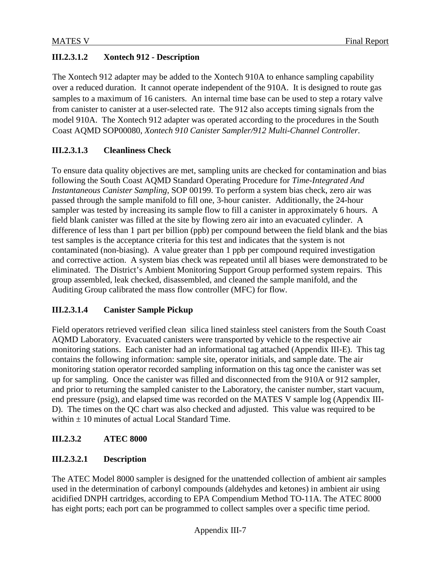### **III.2.3.1.2 Xontech 912 - Description**

The Xontech 912 adapter may be added to the Xontech 910A to enhance sampling capability over a reduced duration. It cannot operate independent of the 910A. It is designed to route gas samples to a maximum of 16 canisters. An internal time base can be used to step a rotary valve from canister to canister at a user-selected rate. The 912 also accepts timing signals from the model 910A. The Xontech 912 adapter was operated according to the procedures in the South Coast AQMD SOP00080, *Xontech 910 Canister Sampler/912 Multi-Channel Controller.*

### **III.2.3.1.3 Cleanliness Check**

To ensure data quality objectives are met, sampling units are checked for contamination and bias following the South Coast AQMD Standard Operating Procedure for *Time-Integrated And Instantaneous Canister Sampling*, SOP 00199. To perform a system bias check, zero air was passed through the sample manifold to fill one, 3-hour canister. Additionally, the 24-hour sampler was tested by increasing its sample flow to fill a canister in approximately 6 hours. A field blank canister was filled at the site by flowing zero air into an evacuated cylinder. A difference of less than 1 part per billion (ppb) per compound between the field blank and the bias test samples is the acceptance criteria for this test and indicates that the system is not contaminated (non-biasing). A value greater than 1 ppb per compound required investigation and corrective action. A system bias check was repeated until all biases were demonstrated to be eliminated. The District's Ambient Monitoring Support Group performed system repairs. This group assembled, leak checked, disassembled, and cleaned the sample manifold, and the Auditing Group calibrated the mass flow controller (MFC) for flow.

### **III.2.3.1.4 Canister Sample Pickup**

Field operators retrieved verified clean silica lined stainless steel canisters from the South Coast AQMD Laboratory. Evacuated canisters were transported by vehicle to the respective air monitoring stations. Each canister had an informational tag attached (Appendix III-E). This tag contains the following information: sample site, operator initials, and sample date. The air monitoring station operator recorded sampling information on this tag once the canister was set up for sampling. Once the canister was filled and disconnected from the 910A or 912 sampler, and prior to returning the sampled canister to the Laboratory, the canister number, start vacuum, end pressure (psig), and elapsed time was recorded on the MATES V sample log (Appendix III-D). The times on the QC chart was also checked and adjusted. This value was required to be within  $+10$  minutes of actual Local Standard Time.

#### **III.2.3.2 ATEC 8000**

### **III.2.3.2.1 Description**

The ATEC Model 8000 sampler is designed for the unattended collection of ambient air samples used in the determination of carbonyl compounds (aldehydes and ketones) in ambient air using acidified DNPH cartridges, according to EPA Compendium Method TO-11A. The ATEC 8000 has eight ports; each port can be programmed to collect samples over a specific time period.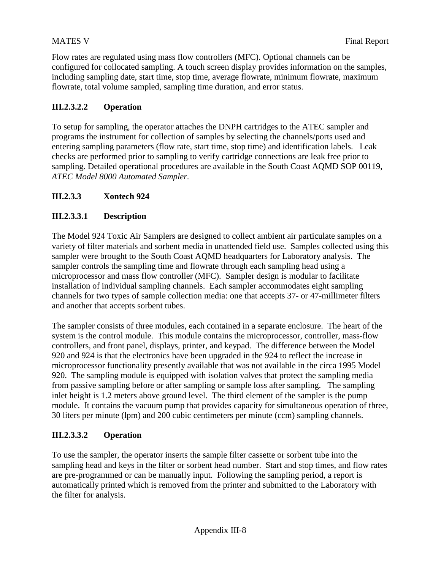Flow rates are regulated using mass flow controllers (MFC). Optional channels can be configured for collocated sampling. A touch screen display provides information on the samples, including sampling date, start time, stop time, average flowrate, minimum flowrate, maximum flowrate, total volume sampled, sampling time duration, and error status.

#### **III.2.3.2.2 Operation**

To setup for sampling, the operator attaches the DNPH cartridges to the ATEC sampler and programs the instrument for collection of samples by selecting the channels/ports used and entering sampling parameters (flow rate, start time, stop time) and identification labels. Leak checks are performed prior to sampling to verify cartridge connections are leak free prior to sampling. Detailed operational procedures are available in the South Coast AQMD SOP 00119, *ATEC Model 8000 Automated Sampler.*

#### **III.2.3.3 Xontech 924**

#### **III.2.3.3.1 Description**

The Model 924 Toxic Air Samplers are designed to collect ambient air particulate samples on a variety of filter materials and sorbent media in unattended field use. Samples collected using this sampler were brought to the South Coast AQMD headquarters for Laboratory analysis. The sampler controls the sampling time and flowrate through each sampling head using a microprocessor and mass flow controller (MFC). Sampler design is modular to facilitate installation of individual sampling channels. Each sampler accommodates eight sampling channels for two types of sample collection media: one that accepts 37- or 47-millimeter filters and another that accepts sorbent tubes.

The sampler consists of three modules, each contained in a separate enclosure. The heart of the system is the control module. This module contains the microprocessor, controller, mass-flow controllers, and front panel, displays, printer, and keypad. The difference between the Model 920 and 924 is that the electronics have been upgraded in the 924 to reflect the increase in microprocessor functionality presently available that was not available in the circa 1995 Model 920. The sampling module is equipped with isolation valves that protect the sampling media from passive sampling before or after sampling or sample loss after sampling. The sampling inlet height is 1.2 meters above ground level. The third element of the sampler is the pump module. It contains the vacuum pump that provides capacity for simultaneous operation of three, 30 liters per minute (lpm) and 200 cubic centimeters per minute (ccm) sampling channels.

#### **III.2.3.3.2 Operation**

To use the sampler, the operator inserts the sample filter cassette or sorbent tube into the sampling head and keys in the filter or sorbent head number. Start and stop times, and flow rates are pre-programmed or can be manually input. Following the sampling period, a report is automatically printed which is removed from the printer and submitted to the Laboratory with the filter for analysis.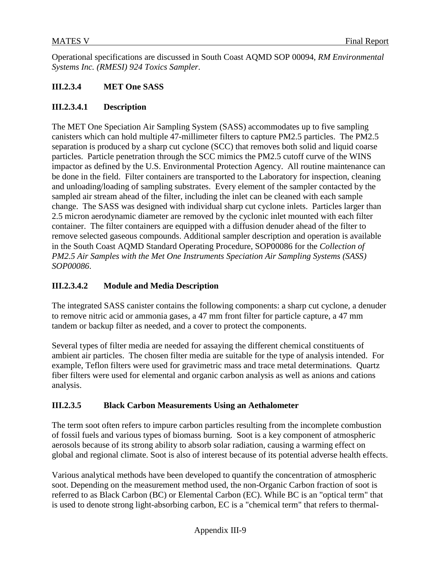Operational specifications are discussed in South Coast AQMD SOP 00094, *RM Environmental Systems Inc. (RMESI) 924 Toxics Sampler*.

#### **III.2.3.4 MET One SASS**

#### **III.2.3.4.1 Description**

The MET One Speciation Air Sampling System (SASS) accommodates up to five sampling canisters which can hold multiple 47-millimeter filters to capture PM2.5 particles. The PM2.5 separation is produced by a sharp cut cyclone (SCC) that removes both solid and liquid coarse particles. Particle penetration through the SCC mimics the PM2.5 cutoff curve of the WINS impactor as defined by the U.S. Environmental Protection Agency. All routine maintenance can be done in the field. Filter containers are transported to the Laboratory for inspection, cleaning and unloading/loading of sampling substrates. Every element of the sampler contacted by the sampled air stream ahead of the filter, including the inlet can be cleaned with each sample change. The SASS was designed with individual sharp cut cyclone inlets. Particles larger than 2.5 micron aerodynamic diameter are removed by the cyclonic inlet mounted with each filter container. The filter containers are equipped with a diffusion denuder ahead of the filter to remove selected gaseous compounds. Additional sampler description and operation is available in the South Coast AQMD Standard Operating Procedure, SOP00086 for the *Collection of PM2.5 Air Samples with the Met One Instruments Speciation Air Sampling Systems (SASS) SOP00086*.

#### **III.2.3.4.2 Module and Media Description**

The integrated SASS canister contains the following components: a sharp cut cyclone, a denuder to remove nitric acid or ammonia gases, a 47 mm front filter for particle capture, a 47 mm tandem or backup filter as needed, and a cover to protect the components.

Several types of filter media are needed for assaying the different chemical constituents of ambient air particles. The chosen filter media are suitable for the type of analysis intended. For example, Teflon filters were used for gravimetric mass and trace metal determinations. Quartz fiber filters were used for elemental and organic carbon analysis as well as anions and cations analysis.

#### **III.2.3.5 Black Carbon Measurements Using an Aethalometer**

The term soot often refers to impure carbon particles resulting from the incomplete combustion of fossil fuels and various types of biomass burning. Soot is a key component of atmospheric aerosols because of its strong ability to absorb solar radiation, causing a warming effect on global and regional climate. Soot is also of interest because of its potential adverse health effects.

Various analytical methods have been developed to quantify the concentration of atmospheric soot. Depending on the measurement method used, the non-Organic Carbon fraction of soot is referred to as Black Carbon (BC) or Elemental Carbon (EC). While BC is an "optical term" that is used to denote strong light-absorbing carbon, EC is a "chemical term" that refers to thermal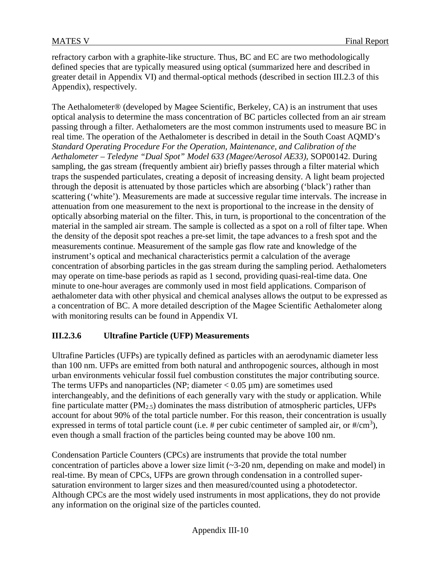refractory carbon with a graphite-like structure. Thus, BC and EC are two methodologically defined species that are typically measured using optical (summarized here and described in greater detail in Appendix VI) and thermal-optical methods (described in section III.2.3 of this Appendix), respectively.

The Aethalometer® (developed by Magee Scientific, Berkeley, CA) is an instrument that uses optical analysis to determine the mass concentration of BC particles collected from an air stream passing through a filter. Aethalometers are the most common instruments used to measure BC in real time. The operation of the Aethalometer is described in detail in the South Coast AQMD's *Standard Operating Procedure For the Operation, Maintenance, and Calibration of the Aethalometer* – *Teledyne "Dual Spot" Model 633 (Magee/Aerosol AE33),* SOP00142. During sampling, the gas stream (frequently ambient air) briefly passes through a [filter material](http://en.wikipedia.org/wiki/Filter_paper) which traps the suspended particulates, creating a deposit of increasing density. A light beam projected through the deposit is [attenuated](http://en.wikipedia.org/wiki/Attenuation) by those particles which are [absorbing](http://en.wikipedia.org/wiki/Light_absorption) ('black') rather than [scattering](http://en.wikipedia.org/wiki/Light_scattering) ('white'). Measurements are made at successive regular time intervals. The increase in attenuation from one measurement to the next is proportional to the increase in the density of optically absorbing material on the filter. This, in turn, is proportional to the concentration of the material in the sampled air stream. The sample is collected as a spot on a roll of [filter tape.](http://en.wikipedia.org/wiki/Particulate_matter_sampler) When the density of the deposit spot reaches a pre-set limit, the tape advances to a fresh spot and the measurements continue. Measurement of the sample gas flow rate and knowledge of the instrument's optical and mechanical characteristics permit a calculation of the average concentration of absorbing particles in the gas stream during the sampling period. Aethalometers may operate on time-base periods as rapid as 1 second, providing quasi-real-time data. One minute to one-hour averages are commonly used in most field applications. Comparison of aethalometer data with other physical and chemical analyses allows the output to be expressed as a concentration of BC. A more detailed description of the Magee Scientific Aethalometer along with monitoring results can be found in Appendix VI.

#### **III.2.3.6 Ultrafine Particle (UFP) Measurements**

Ultrafine Particles (UFPs) are typically defined as particles with an aerodynamic diameter less than 100 nm. UFPs are emitted from both natural and anthropogenic sources, although in most urban environments vehicular fossil fuel combustion constitutes the major contributing source. The terms UFPs and nanoparticles (NP; diameter  $< 0.05 \,\mu m$ ) are sometimes used interchangeably, and the definitions of each generally vary with the study or application. While fine particulate matter (PM2.5) dominates the mass distribution of atmospheric particles, UFPs account for about 90% of the total particle number. For this reason, their concentration is usually expressed in terms of total particle count (i.e.  $#$  per cubic centimeter of sampled air, or  $#/cm^3$ ), even though a small fraction of the particles being counted may be above 100 nm.

Condensation Particle Counters (CPCs) are instruments that provide the total number concentration of particles above a lower size limit (~3-20 nm, depending on make and model) in real-time. By mean of CPCs, UFPs are grown through condensation in a controlled supersaturation environment to larger sizes and then measured/counted using a photodetector. Although CPCs are the most widely used instruments in most applications, they do not provide any information on the original size of the particles counted.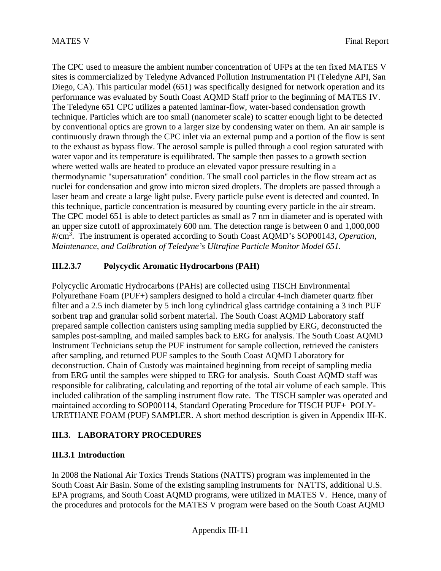The CPC used to measure the ambient number concentration of UFPs at the ten fixed MATES V sites is commercialized by Teledyne Advanced Pollution Instrumentation PI (Teledyne API, San Diego, CA). This particular model (651) was specifically designed for network operation and its performance was evaluated by South Coast AQMD Staff prior to the beginning of MATES IV. The Teledyne 651 CPC utilizes a patented laminar-flow, water-based condensation growth technique. Particles which are too small (nanometer scale) to scatter enough light to be detected by conventional optics are grown to a larger size by condensing water on them. An air sample is continuously drawn through the CPC inlet via an external pump and a portion of the flow is sent to the exhaust as bypass flow. The aerosol sample is pulled through a cool region saturated with water vapor and its temperature is equilibrated. The sample then passes to a growth section where wetted walls are heated to produce an elevated vapor pressure resulting in a thermodynamic "supersaturation" condition. The small cool particles in the flow stream act as nuclei for condensation and grow into micron sized droplets. The droplets are passed through a laser beam and create a large light pulse. Every particle pulse event is detected and counted. In this technique, particle concentration is measured by counting every particle in the air stream. The CPC model 651 is able to detect particles as small as 7 nm in diameter and is operated with an upper size cutoff of approximately 600 nm. The detection range is between 0 and 1,000,000 #/cm<sup>3</sup> . The instrument is operated according to South Coast AQMD's SOP00143, *Operation, Maintenance, and Calibration of Teledyne's Ultrafine Particle Monitor Model 651.*

### **III.2.3.7 Polycyclic Aromatic Hydrocarbons (PAH)**

Polycyclic Aromatic Hydrocarbons (PAHs) are collected using TISCH Environmental Polyurethane Foam (PUF+) samplers designed to hold a circular 4-inch diameter quartz fiber filter and a 2.5 inch diameter by 5 inch long cylindrical glass cartridge containing a 3 inch PUF sorbent trap and granular solid sorbent material. The South Coast AQMD Laboratory staff prepared sample collection canisters using sampling media supplied by ERG, deconstructed the samples post-sampling, and mailed samples back to ERG for analysis. The South Coast AQMD Instrument Technicians setup the PUF instrument for sample collection, retrieved the canisters after sampling, and returned PUF samples to the South Coast AQMD Laboratory for deconstruction. Chain of Custody was maintained beginning from receipt of sampling media from ERG until the samples were shipped to ERG for analysis. South Coast AQMD staff was responsible for calibrating, calculating and reporting of the total air volume of each sample. This included calibration of the sampling instrument flow rate. The TISCH sampler was operated and maintained according to SOP00114, Standard Operating Procedure for TISCH PUF+ POLY-URETHANE FOAM (PUF) SAMPLER. A short method description is given in Appendix III-K.

#### **III.3. LABORATORY PROCEDURES**

#### **III.3.1 Introduction**

In 2008 the National Air Toxics Trends Stations (NATTS) program was implemented in the South Coast Air Basin. Some of the existing sampling instruments for NATTS, additional U.S. EPA programs, and South Coast AQMD programs, were utilized in MATES V. Hence, many of the procedures and protocols for the MATES V program were based on the South Coast AQMD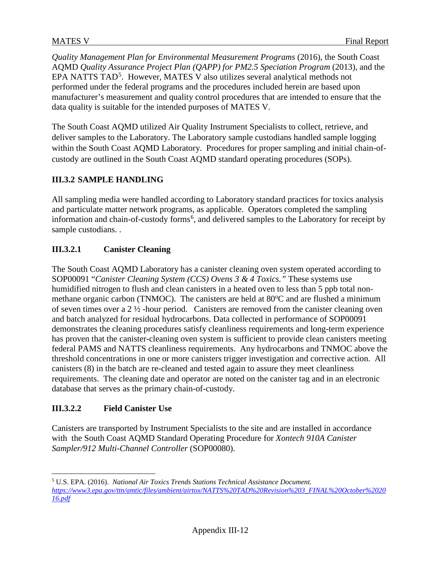*Quality Management Plan for Environmental Measurement Programs* (2016), the South Coast AQMD *Quality Assurance Project Plan (QAPP) for PM2.5 Speciation Program* (2013), and the EPA NATTS TAD<sup>[5](#page-11-0)</sup>. However, MATES V also utilizes several analytical methods not performed under the federal programs and the procedures included herein are based upon manufacturer's measurement and quality control procedures that are intended to ensure that the data quality is suitable for the intended purposes of MATES V.

The South Coast AQMD utilized Air Quality Instrument Specialists to collect, retrieve, and deliver samples to the Laboratory. The Laboratory sample custodians handled sample logging within the South Coast AQMD Laboratory. Procedures for proper sampling and initial chain-ofcustody are outlined in the South Coast AQMD standard operating procedures (SOPs).

### **III.3.2 SAMPLE HANDLING**

All sampling media were handled according to Laboratory standard practices for toxics analysis and particulate matter network programs, as applicable. Operators completed the sampling information and chain-of-custody forms<sup>[6](#page-11-1)</sup>, and delivered samples to the Laboratory for receipt by sample custodians. .

#### **III.3.2.1 Canister Cleaning**

The South Coast AQMD Laboratory has a canister cleaning oven system operated according to SOP00091 "*Canister Cleaning System (CCS) Ovens 3 & 4 Toxics."* These systems use humidified nitrogen to flush and clean canisters in a heated oven to less than 5 ppb total nonmethane organic carbon (TNMOC). The canisters are held at 80°C and are flushed a minimum of seven times over a  $2\frac{1}{2}$ -hour period. Canisters are removed from the canister cleaning oven and batch analyzed for residual hydrocarbons. Data collected in performance of SOP00091 demonstrates the cleaning procedures satisfy cleanliness requirements and long-term experience has proven that the canister-cleaning oven system is sufficient to provide clean canisters meeting federal PAMS and NATTS cleanliness requirements. Any hydrocarbons and TNMOC above the threshold concentrations in one or more canisters trigger investigation and corrective action. All canisters (8) in the batch are re-cleaned and tested again to assure they meet cleanliness requirements. The cleaning date and operator are noted on the canister tag and in an electronic database that serves as the primary chain-of-custody.

### **III.3.2.2 Field Canister Use**

Canisters are transported by Instrument Specialists to the site and are installed in accordance with the South Coast AQMD Standard Operating Procedure for *Xontech 910A Canister Sampler/912 Multi-Channel Controller* (SOP00080).

<span id="page-11-1"></span><span id="page-11-0"></span> <sup>5</sup> U.S. EPA. (2016). *National Air Toxics Trends Stations Technical Assistance Document. [https://www3.epa.gov/ttn/amtic/files/ambient/airtox/NATTS%20TAD%20Revision%203\\_FINAL%20October%2020](https://www3.epa.gov/ttn/amtic/files/ambient/airtox/NATTS%20TAD%20Revision%203_FINAL%20October%202016.pdf) [16.pdf](https://www3.epa.gov/ttn/amtic/files/ambient/airtox/NATTS%20TAD%20Revision%203_FINAL%20October%202016.pdf)*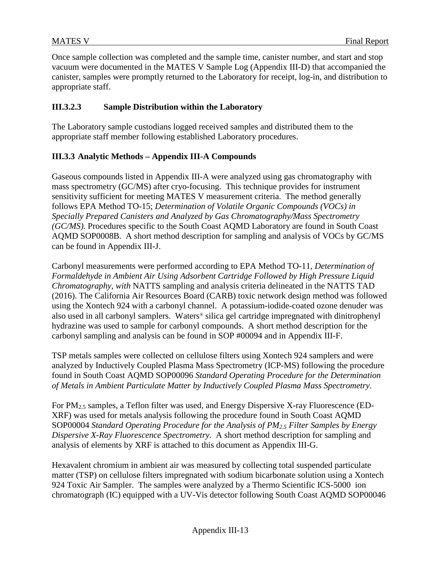Once sample collection was completed and the sample time, canister number, and start and stop vacuum were documented in the MATES V Sample Log (Appendix III-D) that accompanied the canister, samples were promptly returned to the Laboratory for receipt, log-in, and distribution to appropriate staff.

#### **III.3.2.3 Sample Distribution within the Laboratory**

The Laboratory sample custodians logged received samples and distributed them to the appropriate staff member following established Laboratory procedures.

#### **III.3.3 Analytic Methods – Appendix III-A Compounds**

Gaseous compounds listed in Appendix III-A were analyzed using gas chromatography with mass spectrometry (GC/MS) after cryo-focusing. This technique provides for instrument sensitivity sufficient for meeting MATES V measurement criteria. The method generally follows EPA Method TO-15; *Determination of Volatile Organic Compounds (VOCs) in Specially Prepared Canisters and Analyzed by Gas Chromatography/Mass Spectrometry (GC/MS).* Procedures specific to the South Coast AQMD Laboratory are found in South Coast AQMD SOP0008B. A short method description for sampling and analysis of VOCs by GC/MS can be found in Appendix III-J.

Carbonyl measurements were performed according to EPA Method TO-11, *Determination of Formaldehyde in Ambient Air Using Adsorbent Cartridge Followed by High Pressure Liquid Chromatography, with* NATTS sampling and analysis criteria delineated in the NATTS TAD (2016). The California Air Resources Board (CARB) toxic network design method was followed using the Xontech 924 with a carbonyl channel. A potassium-iodide-coated ozone denuder was also used in all carbonyl samplers. Waters*®* silica gel cartridge impregnated with dinitrophenyl hydrazine was used to sample for carbonyl compounds. A short method description for the carbonyl sampling and analysis can be found in SOP #00094 and in Appendix III-F.

TSP metals samples were collected on cellulose filters using Xontech 924 samplers and were analyzed by Inductively Coupled Plasma Mass Spectrometry (ICP-MS) following the procedure found in South Coast AQMD SOP00096 *Standard Operating Procedure for the Determination of Metals in Ambient Particulate Matter by Inductively Coupled Plasma Mass Spectrometry*.

For PM2.5 samples, a Teflon filter was used, and Energy Dispersive X-ray Fluorescence (ED-XRF) was used for metals analysis following the procedure found in South Coast AQMD SOP00004 *Standard Operating Procedure for the Analysis of PM2.5 Filter Samples by Energy Dispersive X-Ray Fluorescence Spectrometry.* A short method description for sampling and analysis of elements by XRF is attached to this document as Appendix III-G.

Hexavalent chromium in ambient air was measured by collecting total suspended particulate matter (TSP) on cellulose filters impregnated with sodium bicarbonate solution using a Xontech 924 Toxic Air Sampler. The samples were analyzed by a Thermo Scientific ICS-5000 ion chromatograph (IC) equipped with a UV-Vis detector following South Coast AQMD SOP00046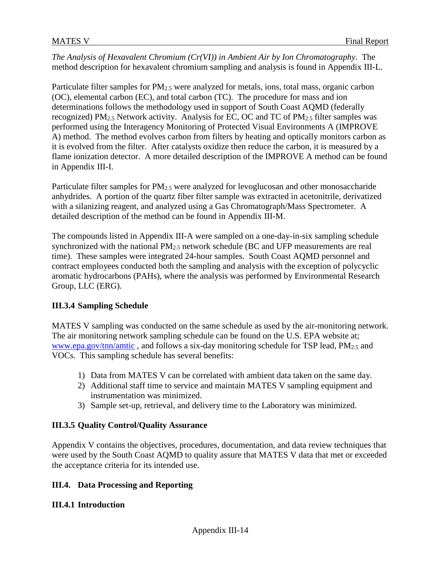*The Analysis of Hexavalent Chromium (Cr(VI)) in Ambient Air by Ion Chromatography*. The method description for hexavalent chromium sampling and analysis is found in Appendix III-L.

Particulate filter samples for PM<sub>2.5</sub> were analyzed for metals, ions, total mass, organic carbon (OC), elemental carbon (EC), and total carbon (TC). The procedure for mass and ion determinations follows the methodology used in support of South Coast AQMD (federally recognized) PM2.5 Network activity. Analysis for EC, OC and TC of PM2.5 filter samples was performed using the Interagency Monitoring of Protected Visual Environments A (IMPROVE A) method. The method evolves carbon from filters by heating and optically monitors carbon as it is evolved from the filter. After catalysts oxidize then reduce the carbon, it is measured by a flame ionization detector. A more detailed description of the IMPROVE A method can be found in Appendix III-I.

Particulate filter samples for PM<sub>2.5</sub> were analyzed for levoglucosan and other monosaccharide anhydrides. A portion of the quartz fiber filter sample was extracted in acetonitrile, derivatized with a silanizing reagent, and analyzed using a Gas Chromatograph/Mass Spectrometer. A detailed description of the method can be found in Appendix III-M.

The compounds listed in Appendix III-A were sampled on a one-day-in-six sampling schedule synchronized with the national  $PM<sub>2.5</sub>$  network schedule (BC and UFP measurements are real time). These samples were integrated 24-hour samples. South Coast AQMD personnel and contract employees conducted both the sampling and analysis with the exception of polycyclic aromatic hydrocarbons (PAHs), where the analysis was performed by Environmental Research Group, LLC (ERG).

#### **III.3.4 Sampling Schedule**

MATES V sampling was conducted on the same schedule as used by the air-monitoring network. The air monitoring network sampling schedule can be found on the U.S. EPA website at; [www.epa.gov/tnn/amtic](http://www.epa.gov/tnn/amtic) , and follows a six-day monitoring schedule for TSP lead, PM2.5 and VOCs. This sampling schedule has several benefits:

- 1) Data from MATES V can be correlated with ambient data taken on the same day.
- 2) Additional staff time to service and maintain MATES V sampling equipment and instrumentation was minimized.
- 3) Sample set-up, retrieval, and delivery time to the Laboratory was minimized.

#### **III.3.5 Quality Control/Quality Assurance**

Appendix V contains the objectives, procedures, documentation, and data review techniques that were used by the South Coast AQMD to quality assure that MATES V data that met or exceeded the acceptance criteria for its intended use.

#### **III.4. Data Processing and Reporting**

#### **III.4.1 Introduction**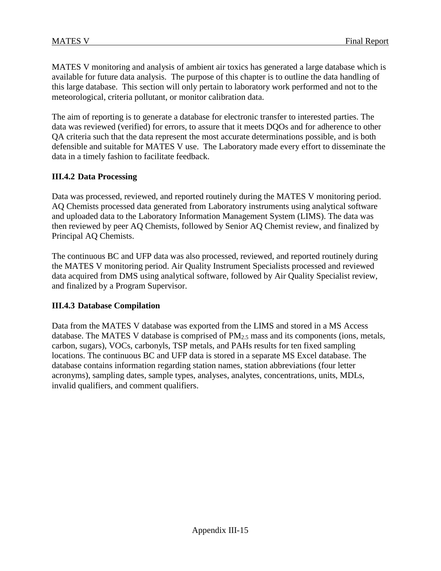MATES V monitoring and analysis of ambient air toxics has generated a large database which is available for future data analysis. The purpose of this chapter is to outline the data handling of this large database. This section will only pertain to laboratory work performed and not to the meteorological, criteria pollutant, or monitor calibration data.

The aim of reporting is to generate a database for electronic transfer to interested parties. The data was reviewed (verified) for errors, to assure that it meets DQOs and for adherence to other QA criteria such that the data represent the most accurate determinations possible, and is both defensible and suitable for MATES V use. The Laboratory made every effort to disseminate the data in a timely fashion to facilitate feedback.

#### **III.4.2 Data Processing**

Data was processed, reviewed, and reported routinely during the MATES V monitoring period. AQ Chemists processed data generated from Laboratory instruments using analytical software and uploaded data to the Laboratory Information Management System (LIMS). The data was then reviewed by peer AQ Chemists, followed by Senior AQ Chemist review, and finalized by Principal AQ Chemists.

The continuous BC and UFP data was also processed, reviewed, and reported routinely during the MATES V monitoring period. Air Quality Instrument Specialists processed and reviewed data acquired from DMS using analytical software, followed by Air Quality Specialist review, and finalized by a Program Supervisor.

#### **III.4.3 Database Compilation**

Data from the MATES V database was exported from the LIMS and stored in a MS Access database. The MATES V database is comprised of  $PM<sub>2.5</sub>$  mass and its components (ions, metals, carbon, sugars), VOCs, carbonyls, TSP metals, and PAHs results for ten fixed sampling locations. The continuous BC and UFP data is stored in a separate MS Excel database. The database contains information regarding station names, station abbreviations (four letter acronyms), sampling dates, sample types, analyses, analytes, concentrations, units, MDLs, invalid qualifiers, and comment qualifiers.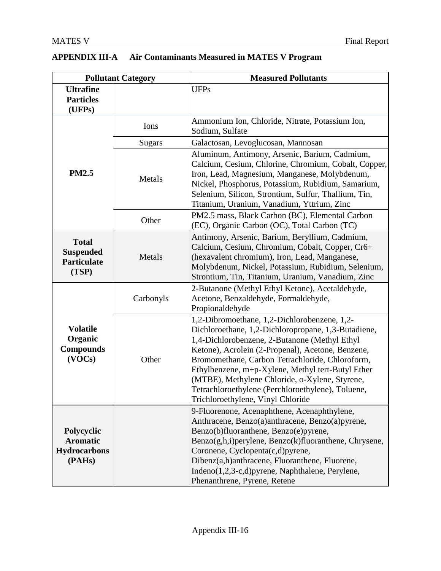|  | APPENDIX III-A | Air Contaminants Measured in MATES V Program |
|--|----------------|----------------------------------------------|
|--|----------------|----------------------------------------------|

|                                                                 | <b>Pollutant Category</b> | <b>Measured Pollutants</b>                                                                                                                                                                                                                                                                                                                                                                                                                                    |
|-----------------------------------------------------------------|---------------------------|---------------------------------------------------------------------------------------------------------------------------------------------------------------------------------------------------------------------------------------------------------------------------------------------------------------------------------------------------------------------------------------------------------------------------------------------------------------|
| <b>Ultrafine</b><br><b>Particles</b><br>(UFPs)                  |                           | <b>UFPs</b>                                                                                                                                                                                                                                                                                                                                                                                                                                                   |
|                                                                 | Ions                      | Ammonium Ion, Chloride, Nitrate, Potassium Ion,<br>Sodium, Sulfate                                                                                                                                                                                                                                                                                                                                                                                            |
|                                                                 | <b>Sugars</b>             | Galactosan, Levoglucosan, Mannosan                                                                                                                                                                                                                                                                                                                                                                                                                            |
| <b>PM2.5</b>                                                    | Metals                    | Aluminum, Antimony, Arsenic, Barium, Cadmium,<br>Calcium, Cesium, Chlorine, Chromium, Cobalt, Copper,<br>Iron, Lead, Magnesium, Manganese, Molybdenum,<br>Nickel, Phosphorus, Potassium, Rubidium, Samarium,<br>Selenium, Silicon, Strontium, Sulfur, Thallium, Tin,<br>Titanium, Uranium, Vanadium, Yttrium, Zinc                                                                                                                                            |
|                                                                 | Other                     | PM2.5 mass, Black Carbon (BC), Elemental Carbon<br>(EC), Organic Carbon (OC), Total Carbon (TC)                                                                                                                                                                                                                                                                                                                                                               |
| <b>Total</b><br><b>Suspended</b><br><b>Particulate</b><br>(TSP) | Metals                    | Antimony, Arsenic, Barium, Beryllium, Cadmium,<br>Calcium, Cesium, Chromium, Cobalt, Copper, Cr6+<br>(hexavalent chromium), Iron, Lead, Manganese,<br>Molybdenum, Nickel, Potassium, Rubidium, Selenium,<br>Strontium, Tin, Titanium, Uranium, Vanadium, Zinc                                                                                                                                                                                                 |
|                                                                 | Carbonyls                 | 2-Butanone (Methyl Ethyl Ketone), Acetaldehyde,<br>Acetone, Benzaldehyde, Formaldehyde,<br>Propionaldehyde                                                                                                                                                                                                                                                                                                                                                    |
| <b>Volatile</b><br>Organic<br><b>Compounds</b><br>(VOCs)        | Other                     | 1,2-Dibromoethane, 1,2-Dichlorobenzene, 1,2-<br>Dichloroethane, 1,2-Dichloropropane, 1,3-Butadiene,<br>1,4-Dichlorobenzene, 2-Butanone (Methyl Ethyl<br>Ketone), Acrolein (2-Propenal), Acetone, Benzene,<br>Bromomethane, Carbon Tetrachloride, Chloroform,<br>Ethylbenzene, m+p-Xylene, Methyl tert-Butyl Ether<br>(MTBE), Methylene Chloride, o-Xylene, Styrene,<br>Tetrachloroethylene (Perchloroethylene), Toluene,<br>Trichloroethylene, Vinyl Chloride |
| Polycyclic<br><b>Aromatic</b><br><b>Hydrocarbons</b><br>(PAHs)  |                           | 9-Fluorenone, Acenaphthene, Acenaphthylene,<br>Anthracene, Benzo(a)anthracene, Benzo(a)pyrene,<br>Benzo(b)fluoranthene, Benzo(e)pyrene,<br>Benzo(g,h,i)perylene, Benzo(k)fluoranthene, Chrysene,<br>Coronene, Cyclopenta(c,d)pyrene,<br>Dibenz(a,h)anthracene, Fluoranthene, Fluorene,<br>Indeno(1,2,3-c,d)pyrene, Naphthalene, Perylene,<br>Phenanthrene, Pyrene, Retene                                                                                     |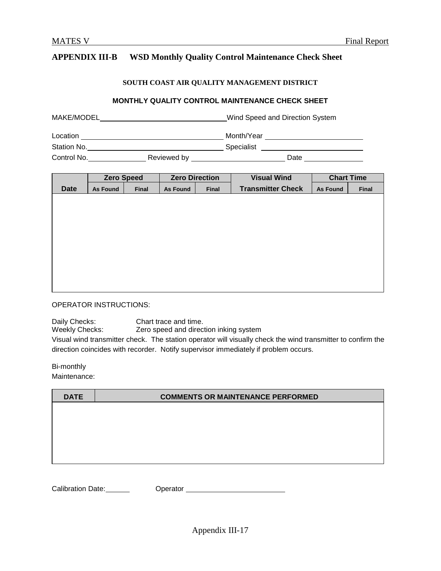#### **APPENDIX III-B WSD Monthly Quality Control Maintenance Check Sheet**

#### **SOUTH COAST AIR QUALITY MANAGEMENT DISTRICT**

#### **MONTHLY QUALITY CONTROL MAINTENANCE CHECK SHEET**

| MAKE/MODEL  |             |            | Wind Speed and Direction System |
|-------------|-------------|------------|---------------------------------|
| Location    |             | Month/Year |                                 |
| Station No. |             | Specialist |                                 |
| Control No. | Reviewed by |            | Date                            |

|             |                 | <b>Zero Speed</b> | <b>Zero Direction</b> |       | <b>Visual Wind</b>       | <b>Chart Time</b> |       |
|-------------|-----------------|-------------------|-----------------------|-------|--------------------------|-------------------|-------|
| <b>Date</b> | <b>As Found</b> | Final             | <b>As Found</b>       | Final | <b>Transmitter Check</b> | <b>As Found</b>   | Final |
|             |                 |                   |                       |       |                          |                   |       |
|             |                 |                   |                       |       |                          |                   |       |
|             |                 |                   |                       |       |                          |                   |       |
|             |                 |                   |                       |       |                          |                   |       |
|             |                 |                   |                       |       |                          |                   |       |
|             |                 |                   |                       |       |                          |                   |       |
|             |                 |                   |                       |       |                          |                   |       |
|             |                 |                   |                       |       |                          |                   |       |
|             |                 |                   |                       |       |                          |                   |       |
|             |                 |                   |                       |       |                          |                   |       |

OPERATOR INSTRUCTIONS:

Daily Checks: Chart trace and time.

Weekly Checks: Zero speed and direction inking system

Visual wind transmitter check. The station operator will visually check the wind transmitter to confirm the direction coincides with recorder. Notify supervisor immediately if problem occurs.

Bi-monthly

Maintenance:

| <b>DATE</b> | <b>COMMENTS OR MAINTENANCE PERFORMED</b> |
|-------------|------------------------------------------|
|             |                                          |
|             |                                          |
|             |                                          |
|             |                                          |
|             |                                          |

Calibration Date: Calibration Date: Calibration Date: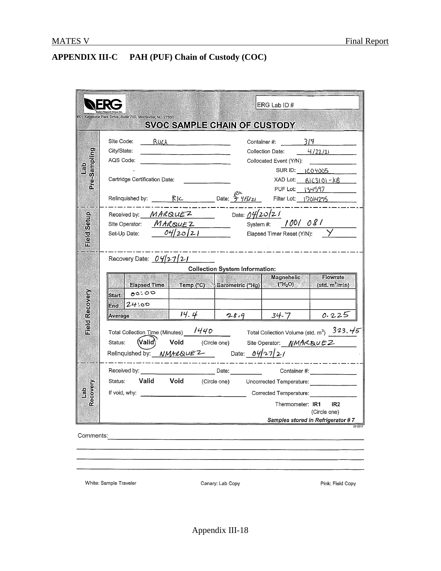# **APPENDIX III-C PAH (PUF) Chain of Custody (COC)**

|                               |                                                                                                                                                                                                                                                                                                                                                                                                                                                                                                                                                                                   | ERG Lab ID #                                                                                                                                                                                   |
|-------------------------------|-----------------------------------------------------------------------------------------------------------------------------------------------------------------------------------------------------------------------------------------------------------------------------------------------------------------------------------------------------------------------------------------------------------------------------------------------------------------------------------------------------------------------------------------------------------------------------------|------------------------------------------------------------------------------------------------------------------------------------------------------------------------------------------------|
|                               | 601 Keystone Park Drive, Suite 700, Morrisville, NC 27560<br><b>SVOC SAMPLE CHAIN OF CUSTODY</b>                                                                                                                                                                                                                                                                                                                                                                                                                                                                                  |                                                                                                                                                                                                |
| Pre-Sampling<br>$\frac{1}{2}$ | Site Code:<br><u>RUCA</u><br>City/State:<br>AQS Code:<br>Cartridge Certification Date:<br>Relinquished by: <u>CALIC Date: <math>\frac{R}{2}</math> PCK CONCERTIBLE</u> Date: The CONCERTIBLE Relinquished by:                                                                                                                                                                                                                                                                                                                                                                     | Container #: $\qquad \qquad$ 3/7<br>Collection Date: $4/22/21$<br>Collocated Event (Y/N):<br>SUR ID: 1C04005<br>$XAD$ Lot: $BIC3101 - kB$<br>PUF Lot: 134597                                   |
| Setup<br>ield<br>Ei           | Received by: $MARQUEZ$ Date: $04/20/21$<br>Site Operator: MARQUEZ System #: 100/08/<br>Set-Up Date:<br>$\frac{1}{2} \left( \frac{1}{2} \right) \left( \frac{1}{2} \right) \left( \frac{1}{2} \right) \left( \frac{1}{2} \right) \left( \frac{1}{2} \right) \left( \frac{1}{2} \right) \left( \frac{1}{2} \right) \left( \frac{1}{2} \right) \left( \frac{1}{2} \right) \left( \frac{1}{2} \right) \left( \frac{1}{2} \right) \left( \frac{1}{2} \right) \left( \frac{1}{2} \right) \left( \frac{1}{2} \right) \left( \frac{1}{2} \right) \left( \frac{1}{2} \right) \left( \frac$ | $\mathcal{O}4/2$ $\circ$ / 2. I Elapsed Timer Reset (Y/N): $\quad$ $\quad$ $\quad$ $\quad$                                                                                                     |
| Field Recovery                | Recovery Date: 042721<br><b>Collection System Information:</b><br>Elapsed Time Temp (°C) Barometric ("Hg) $\vert$ ("H <sub>2</sub> O)<br>$ \text{Start} $ 00.00<br>24.00<br>End<br>14.4<br>28.9<br><b>Average</b><br>Total Collection Time (Minutes) 1440 Total Collection Volume (std. m <sup>3</sup> ) 323.45<br>$($ Valid $)$<br>Status:<br>Relinquished by: $NMH\&\vee F^2$ Date: $\frac{\partial \psi}{\partial 1}$                                                                                                                                                          | Magnehelic<br><b>Flowrate</b><br>$\sim$ (std. m <sup>3</sup> /min)<br>0.225<br>$34 - 7$<br>Void (Circle one) Site Operator: NMAR&uEZ                                                           |
| Recovery<br>$\frac{1}{6}$     | Status:<br>If void, why:                                                                                                                                                                                                                                                                                                                                                                                                                                                                                                                                                          | Valid Void (Circle one) Uncorrected Temperature: ________________<br>Corrected Temperature:<br>IR <sub>2</sub><br>Thermometer: <b>IR1</b><br>(Circle one)<br>Samples stored in Refrigerator #7 |
| Comments:                     |                                                                                                                                                                                                                                                                                                                                                                                                                                                                                                                                                                                   |                                                                                                                                                                                                |

White: Sample Traveler

Canary: Lab Copy

Pink: Field Copy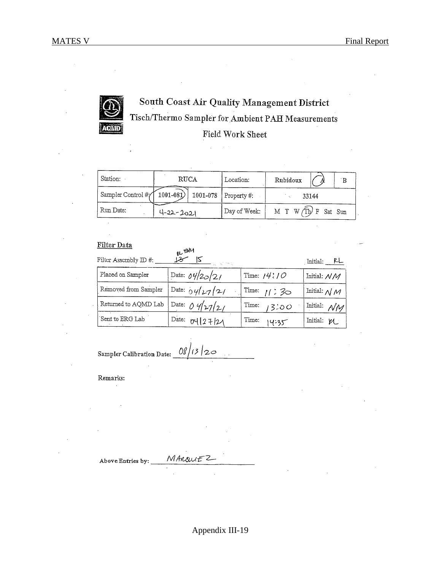

# South Coast Air Quality Management District Tisch/Thermo Sampler for Ambient PAH Measurements **Field Work Sheet**

| Station:          | <b>RUCA</b>                       | Location:           | Rubidoux<br>$\mathbf{B}$ |
|-------------------|-----------------------------------|---------------------|--------------------------|
| Sampler Control # | $ 1001 - 081\rangle $<br>1001-078 | $\vert$ Property #: | 33144                    |
| Run Date:         | $4 - 22 - 2021$                   | Day of Week:        | M T W Th F Sat Sun       |

#### Filter Data

| Filter Assembly ID #: | <b>BL</b> HUM<br>12<br>Contractor Contractor |                   | Initial: PL                        |
|-----------------------|----------------------------------------------|-------------------|------------------------------------|
| Placed on Sampler     | Date: $04/20/21$                             | Time: $14$ : $10$ | Initial: N/M                       |
| Removed from Sampler  | Date: $04/27/21$                             | Time: $1/2$ 30    | Initial: $\mathcal{N} \mathcal{M}$ |
| Returned to AQMD Lab  | Date: 04/27/21                               | Time:<br>13:00    | Initial: $\mathcal{NN}$            |
| Sent to ERG Lab       | Date: $U(127/2)$                             | Time:<br>14:35    | Initial: V                         |

 $08/13/20$ 

Sampler Calibration Date:

Remarks:

MARQUEZ Above Entries by: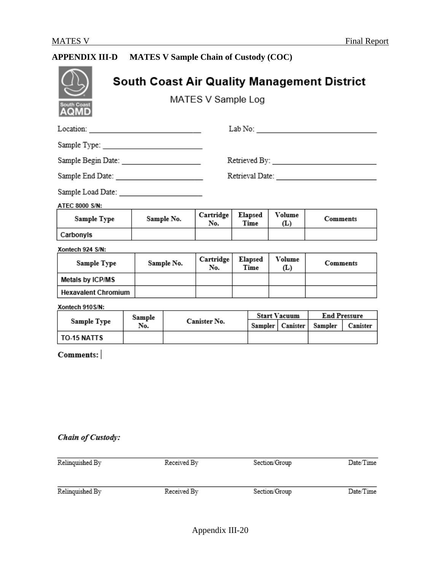# **APPENDIX III-D MATES V Sample Chain of Custody (COC)**

| <b>South Coast</b><br>AQMD                |               |            | MATES V Sample Log |                 |         | South Coast Air Quality Management District                                                                                                                                                                                                                                                                                                                               |                 |                                 |
|-------------------------------------------|---------------|------------|--------------------|-----------------|---------|---------------------------------------------------------------------------------------------------------------------------------------------------------------------------------------------------------------------------------------------------------------------------------------------------------------------------------------------------------------------------|-----------------|---------------------------------|
| Location: _______________________________ |               |            |                    |                 |         | ${\rm Lab\ No:}\begin{tabular}{ l l } \hline \rule{0.2cm}{.4cm} \rule{0.2cm}{.4cm} \rule{0.2cm}{.4cm} \rule{0.2cm}{.4cm} \rule{0.2cm}{.4cm} \rule{0.2cm}{.4cm} \rule{0.2cm}{.4cm} \rule{0.2cm}{.4cm} \rule{0.2cm}{.4cm} \rule{0.2cm}{.4cm} \rule{0.2cm}{.4cm} \rule{0.2cm}{.4cm} \rule{0.2cm}{.4cm} \rule{0.2cm}{.4cm} \rule{0.2cm}{.4cm} \rule{0.2cm}{.4cm} \rule{0.2cm$ |                 |                                 |
|                                           |               |            |                    |                 |         |                                                                                                                                                                                                                                                                                                                                                                           |                 |                                 |
|                                           |               |            |                    |                 |         |                                                                                                                                                                                                                                                                                                                                                                           |                 |                                 |
| Sample End Date: ________________________ |               |            |                    |                 |         | Retrieval Date: New York State State State State State State State State State State State State State State State State State State State State State State State State State State State State State State State State State                                                                                                                                            |                 |                                 |
| Sample Load Date: _______________________ |               |            |                    |                 |         |                                                                                                                                                                                                                                                                                                                                                                           |                 |                                 |
| ATEC 8000 S/N:                            |               |            |                    |                 |         |                                                                                                                                                                                                                                                                                                                                                                           |                 |                                 |
| Sample Type                               | Sample No.    |            | Cartridge<br>No.   | Elapsed<br>Time |         | Volume<br>(L)                                                                                                                                                                                                                                                                                                                                                             | Comments        |                                 |
| Carbonyls                                 |               |            |                    |                 |         |                                                                                                                                                                                                                                                                                                                                                                           |                 |                                 |
| Xontech 924 S/N:                          |               |            |                    |                 |         |                                                                                                                                                                                                                                                                                                                                                                           |                 |                                 |
| Sample Type                               |               | Sample No. | Cartridge<br>No.   | Elapsed<br>Time |         | Volume<br>(L)                                                                                                                                                                                                                                                                                                                                                             | <b>Comments</b> |                                 |
| Metals by ICP/MS                          |               |            |                    |                 |         |                                                                                                                                                                                                                                                                                                                                                                           |                 |                                 |
| <b>Hexavalent Chromium</b>                |               |            |                    |                 |         |                                                                                                                                                                                                                                                                                                                                                                           |                 |                                 |
| Xontech 910S/N:                           |               |            |                    |                 |         |                                                                                                                                                                                                                                                                                                                                                                           |                 |                                 |
| Sample Type                               | Sample<br>No. |            | Canister No.       |                 | Sampler | <b>Start Vacuum</b><br>Canister                                                                                                                                                                                                                                                                                                                                           | Sampler         | <b>End Pressure</b><br>Canister |
| TO-15 NATTS                               |               |            |                    |                 |         |                                                                                                                                                                                                                                                                                                                                                                           |                 |                                 |
| Comments:                                 |               |            |                    |                 |         |                                                                                                                                                                                                                                                                                                                                                                           |                 |                                 |
|                                           |               |            |                    |                 |         |                                                                                                                                                                                                                                                                                                                                                                           |                 |                                 |

## Chain of Custody:

| Relinquished By | Received By | Section/Group | Date/Time |  |
|-----------------|-------------|---------------|-----------|--|
| Relinquished By | Received By | Section/Group | Date/Time |  |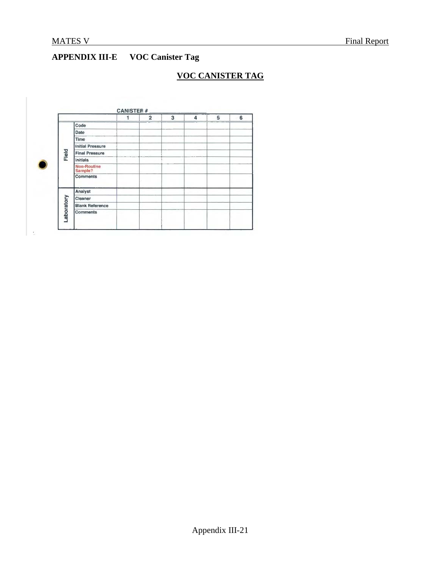# **APPENDIX III-E VOC Canister Tag**

## **VOC CANISTER TAG**

|           |                               | $\overline{2}$ | 3 | 4 | 5 | 6 |
|-----------|-------------------------------|----------------|---|---|---|---|
|           | Code                          |                |   |   |   |   |
|           | Date                          |                |   |   |   |   |
|           | Time                          |                |   |   |   |   |
|           | <b>Initial Pressure</b>       |                |   |   |   |   |
| Field     | <b>Final Pressure</b>         |                |   |   |   |   |
|           | Initials                      |                |   |   |   |   |
|           | <b>Non-Routine</b><br>Sample? |                |   |   |   |   |
|           | Comments                      |                |   |   |   |   |
|           | Analyst                       |                |   |   |   |   |
|           | Cleaner                       |                |   |   |   |   |
|           | <b>Blank Reference</b>        |                |   |   |   |   |
| aboratory | <b>Comments</b>               |                |   |   |   |   |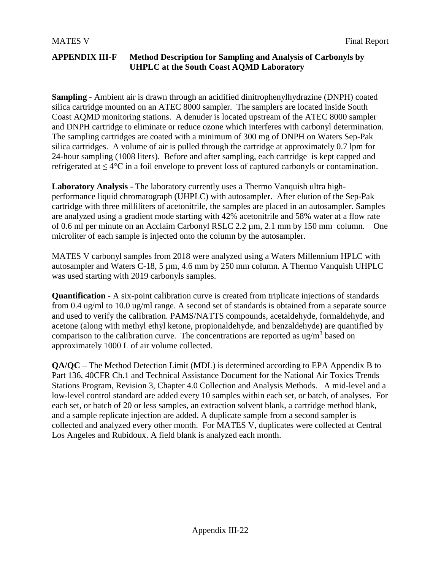#### **APPENDIX III-F Method Description for Sampling and Analysis of Carbonyls by UHPLC at the South Coast AQMD Laboratory**

**Sampling** - Ambient air is drawn through an acidified dinitrophenylhydrazine (DNPH) coated silica cartridge mounted on an ATEC 8000 sampler. The samplers are located inside South Coast AQMD monitoring stations. A denuder is located upstream of the ATEC 8000 sampler and DNPH cartridge to eliminate or reduce ozone which interferes with carbonyl determination. The sampling cartridges are coated with a minimum of 300 mg of DNPH on Waters Sep-Pak silica cartridges. A volume of air is pulled through the cartridge at approximately 0.7 lpm for 24-hour sampling (1008 liters). Before and after sampling, each cartridge is kept capped and refrigerated at  $\leq 4^{\circ}$ C in a foil envelope to prevent loss of captured carbonyls or contamination.

**Laboratory Analysis** - The laboratory currently uses a Thermo Vanquish ultra highperformance liquid chromatograph (UHPLC) with autosampler. After elution of the Sep-Pak cartridge with three milliliters of acetonitrile, the samples are placed in an autosampler. Samples are analyzed using a gradient mode starting with 42% acetonitrile and 58% water at a flow rate of 0.6 ml per minute on an Acclaim Carbonyl RSLC 2.2 µm, 2.1 mm by 150 mm column. One microliter of each sample is injected onto the column by the autosampler.

MATES V carbonyl samples from 2018 were analyzed using a Waters Millennium HPLC with autosampler and Waters C-18, 5 µm, 4.6 mm by 250 mm column. A Thermo Vanquish UHPLC was used starting with 2019 carbonyls samples.

**Quantification** - A six-point calibration curve is created from triplicate injections of standards from 0.4 ug/ml to 10.0 ug/ml range. A second set of standards is obtained from a separate source and used to verify the calibration. PAMS/NATTS compounds, acetaldehyde, formaldehyde, and acetone (along with methyl ethyl ketone, propionaldehyde, and benzaldehyde) are quantified by comparison to the calibration curve. The concentrations are reported as  $\frac{ug}{m^3}$  based on approximately 1000 L of air volume collected.

**QA/QC** – The Method Detection Limit (MDL) is determined according to EPA Appendix B to Part 136, 40CFR Ch.1 and Technical Assistance Document for the National Air Toxics Trends Stations Program, Revision 3, Chapter 4.0 Collection and Analysis Methods. A mid-level and a low-level control standard are added every 10 samples within each set, or batch, of analyses. For each set, or batch of 20 or less samples, an extraction solvent blank, a cartridge method blank, and a sample replicate injection are added. A duplicate sample from a second sampler is collected and analyzed every other month. For MATES V, duplicates were collected at Central Los Angeles and Rubidoux. A field blank is analyzed each month.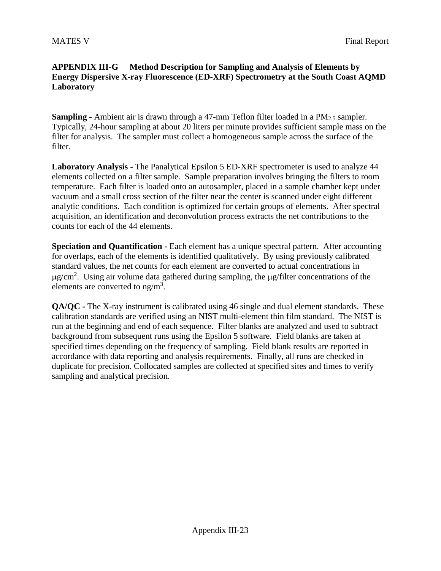#### **APPENDIX III-G Method Description for Sampling and Analysis of Elements by Energy Dispersive X-ray Fluorescence (ED-XRF) Spectrometry at the South Coast AQMD Laboratory**

**Sampling -** Ambient air is drawn through a 47-mm Teflon filter loaded in a PM<sub>2.5</sub> sampler. Typically, 24-hour sampling at about 20 liters per minute provides sufficient sample mass on the filter for analysis. The sampler must collect a homogeneous sample across the surface of the filter.

**Laboratory Analysis -** The Panalytical Epsilon 5 ED-XRF spectrometer is used to analyze 44 elements collected on a filter sample. Sample preparation involves bringing the filters to room temperature. Each filter is loaded onto an autosampler, placed in a sample chamber kept under vacuum and a small cross section of the filter near the center is scanned under eight different analytic conditions. Each condition is optimized for certain groups of elements. After spectral acquisition, an identification and deconvolution process extracts the net contributions to the counts for each of the 44 elements.

**Speciation and Quantification -** Each element has a unique spectral pattern. After accounting for overlaps, each of the elements is identified qualitatively. By using previously calibrated standard values, the net counts for each element are converted to actual concentrations in  $\mu$ g/cm<sup>2</sup>. Using air volume data gathered during sampling, the  $\mu$ g/filter concentrations of the elements are converted to  $ng/m<sup>3</sup>$ .

**QA/QC** - The X-ray instrument is calibrated using 46 single and dual element standards. These calibration standards are verified using an NIST multi-element thin film standard. The NIST is run at the beginning and end of each sequence. Filter blanks are analyzed and used to subtract background from subsequent runs using the Epsilon 5 software. Field blanks are taken at specified times depending on the frequency of sampling. Field blank results are reported in accordance with data reporting and analysis requirements. Finally, all runs are checked in duplicate for precision. Collocated samples are collected at specified sites and times to verify sampling and analytical precision.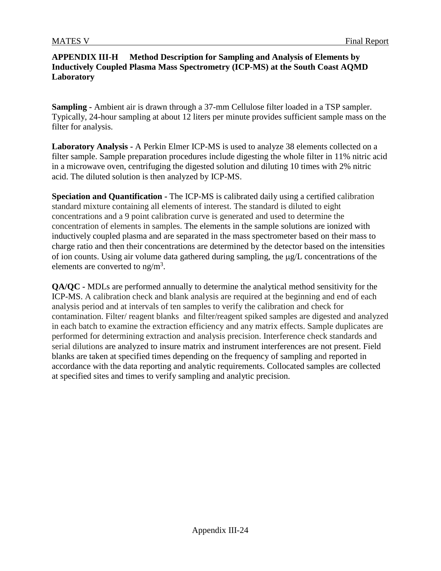#### **APPENDIX III-H Method Description for Sampling and Analysis of Elements by Inductively Coupled Plasma Mass Spectrometry (ICP-MS) at the South Coast AQMD Laboratory**

**Sampling -** Ambient air is drawn through a 37-mm Cellulose filter loaded in a TSP sampler. Typically, 24-hour sampling at about 12 liters per minute provides sufficient sample mass on the filter for analysis.

**Laboratory Analysis -** A Perkin Elmer ICP-MS is used to analyze 38 elements collected on a filter sample. Sample preparation procedures include digesting the whole filter in 11% nitric acid in a microwave oven, centrifuging the digested solution and diluting 10 times with 2% nitric acid. The diluted solution is then analyzed by ICP-MS.

**Speciation and Quantification -** The ICP-MS is calibrated daily using a certified calibration standard mixture containing all elements of interest. The standard is diluted to eight concentrations and a 9 point calibration curve is generated and used to determine the concentration of elements in samples. The elements in the sample solutions are [ionized](http://en.wikipedia.org/wiki/Ionization) with [inductively coupled plasma](http://en.wikipedia.org/wiki/Inductively_coupled_plasma) and are separated in the [mass spectrometer](http://en.wikipedia.org/wiki/Mass_spectrometer) based on their mass to charge ratio and then their concentrations are determined by the detector based on the intensities of ion counts. Using air volume data gathered during sampling, the µg/L concentrations of the elements are converted to  $ng/m<sup>3</sup>$ .

**QA/QC -** MDLs are performed annually to determine the analytical method sensitivity for the ICP-MS. A calibration check and blank analysis are required at the beginning and end of each analysis period and at intervals of ten samples to verify the calibration and check for contamination. Filter/ reagent blanks and filter/reagent spiked samples are digested and analyzed in each batch to examine the extraction efficiency and any matrix effects. Sample duplicates are performed for determining extraction and analysis precision. Interference check standards and serial dilutions are analyzed to insure matrix and instrument interferences are not present. Field blanks are taken at specified times depending on the frequency of sampling and reported in accordance with the data reporting and analytic requirements. Collocated samples are collected at specified sites and times to verify sampling and analytic precision.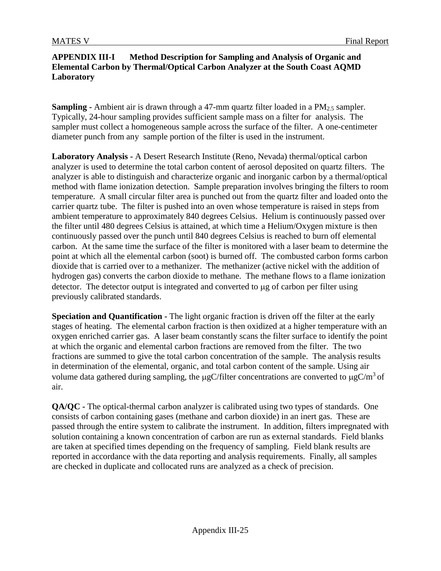#### **APPENDIX III-I Method Description for Sampling and Analysis of Organic and Elemental Carbon by Thermal/Optical Carbon Analyzer at the South Coast AQMD Laboratory**

**Sampling -** Ambient air is drawn through a 47-mm quartz filter loaded in a PM<sub>2.5</sub> sampler. Typically, 24-hour sampling provides sufficient sample mass on a filter for analysis. The sampler must collect a homogeneous sample across the surface of the filter. A one-centimeter diameter punch from any sample portion of the filter is used in the instrument.

**Laboratory Analysis -** A Desert Research Institute (Reno, Nevada) thermal/optical carbon analyzer is used to determine the total carbon content of aerosol deposited on quartz filters. The analyzer is able to distinguish and characterize organic and inorganic carbon by a thermal/optical method with flame ionization detection. Sample preparation involves bringing the filters to room temperature. A small circular filter area is punched out from the quartz filter and loaded onto the carrier quartz tube. The filter is pushed into an oven whose temperature is raised in steps from ambient temperature to approximately 840 degrees Celsius. Helium is continuously passed over the filter until 480 degrees Celsius is attained, at which time a Helium/Oxygen mixture is then continuously passed over the punch until 840 degrees Celsius is reached to burn off elemental carbon. At the same time the surface of the filter is monitored with a laser beam to determine the point at which all the elemental carbon (soot) is burned off. The combusted carbon forms carbon dioxide that is carried over to a methanizer. The methanizer (active nickel with the addition of hydrogen gas) converts the carbon dioxide to methane. The methane flows to a flame ionization detector. The detector output is integrated and converted to  $\mu$ g of carbon per filter using previously calibrated standards.

**Speciation and Quantification -** The light organic fraction is driven off the filter at the early stages of heating. The elemental carbon fraction is then oxidized at a higher temperature with an oxygen enriched carrier gas. A laser beam constantly scans the filter surface to identify the point at which the organic and elemental carbon fractions are removed from the filter. The two fractions are summed to give the total carbon concentration of the sample. The analysis results in determination of the elemental, organic, and total carbon content of the sample. Using air volume data gathered during sampling, the  $\mu$ gC/filter concentrations are converted to  $\mu$ gC/m<sup>3</sup> of air.

**QA/QC -** The optical-thermal carbon analyzer is calibrated using two types of standards. One consists of carbon containing gases (methane and carbon dioxide) in an inert gas. These are passed through the entire system to calibrate the instrument. In addition, filters impregnated with solution containing a known concentration of carbon are run as external standards. Field blanks are taken at specified times depending on the frequency of sampling. Field blank results are reported in accordance with the data reporting and analysis requirements. Finally, all samples are checked in duplicate and collocated runs are analyzed as a check of precision.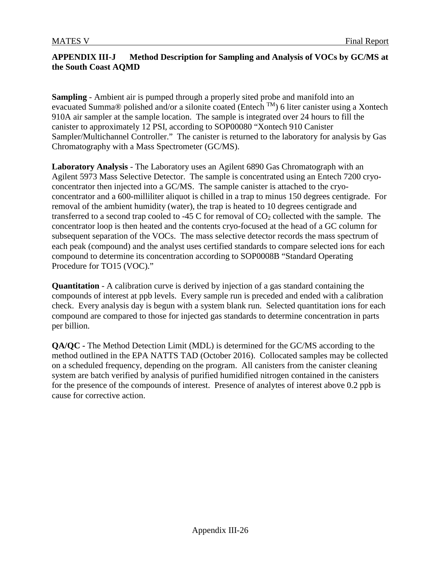#### **APPENDIX III-J Method Description for Sampling and Analysis of VOCs by GC/MS at the South Coast AQMD**

**Sampling** - Ambient air is pumped through a properly sited probe and manifold into an evacuated Summa® polished and/or a silonite coated (Entech TM) 6 liter canister using a Xontech 910A air sampler at the sample location. The sample is integrated over 24 hours to fill the canister to approximately 12 PSI, according to SOP00080 "Xontech 910 Canister Sampler/Multichannel Controller." The canister is returned to the laboratory for analysis by Gas Chromatography with a Mass Spectrometer (GC/MS).

**Laboratory Analysis** - The Laboratory uses an Agilent 6890 Gas Chromatograph with an Agilent 5973 Mass Selective Detector. The sample is concentrated using an Entech 7200 cryoconcentrator then injected into a GC/MS. The sample canister is attached to the cryoconcentrator and a 600-milliliter aliquot is chilled in a trap to minus 150 degrees centigrade. For removal of the ambient humidity (water), the trap is heated to 10 degrees centigrade and transferred to a second trap cooled to -45 C for removal of  $CO<sub>2</sub>$  collected with the sample. The concentrator loop is then heated and the contents cryo-focused at the head of a GC column for subsequent separation of the VOCs. The mass selective detector records the mass spectrum of each peak (compound) and the analyst uses certified standards to compare selected ions for each compound to determine its concentration according to SOP0008B "Standard Operating Procedure for TO15 (VOC)."

**Quantitation** - A calibration curve is derived by injection of a gas standard containing the compounds of interest at ppb levels. Every sample run is preceded and ended with a calibration check. Every analysis day is begun with a system blank run. Selected quantitation ions for each compound are compared to those for injected gas standards to determine concentration in parts per billion.

**QA/QC -** The Method Detection Limit (MDL) is determined for the GC/MS according to the method outlined in the EPA NATTS TAD (October 2016). Collocated samples may be collected on a scheduled frequency, depending on the program. All canisters from the canister cleaning system are batch verified by analysis of purified humidified nitrogen contained in the canisters for the presence of the compounds of interest. Presence of analytes of interest above 0.2 ppb is cause for corrective action.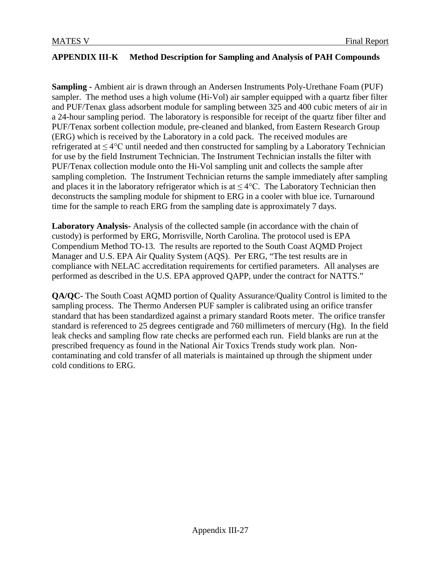## **APPENDIX III-K Method Description for Sampling and Analysis of PAH Compounds**

**Sampling -** Ambient air is drawn through an Andersen Instruments Poly-Urethane Foam (PUF) sampler. The method uses a high volume (Hi-Vol) air sampler equipped with a quartz fiber filter and PUF/Tenax glass adsorbent module for sampling between 325 and 400 cubic meters of air in a 24-hour sampling period. The laboratory is responsible for receipt of the quartz fiber filter and PUF/Tenax sorbent collection module, pre-cleaned and blanked, from Eastern Research Group (ERG) which is received by the Laboratory in a cold pack. The received modules are refrigerated at  $\leq 4^{\circ}$ C until needed and then constructed for sampling by a Laboratory Technician for use by the field Instrument Technician. The Instrument Technician installs the filter with PUF/Tenax collection module onto the Hi-Vol sampling unit and collects the sample after sampling completion. The Instrument Technician returns the sample immediately after sampling and places it in the laboratory refrigerator which is at  $\leq 4^{\circ}$ C. The Laboratory Technician then deconstructs the sampling module for shipment to ERG in a cooler with blue ice. Turnaround time for the sample to reach ERG from the sampling date is approximately 7 days.

**Laboratory Analysis-** Analysis of the collected sample (in accordance with the chain of custody) is performed by ERG, Morrisville, North Carolina. The protocol used is EPA Compendium Method TO-13. The results are reported to the South Coast AQMD Project Manager and U.S. EPA Air Quality System (AQS). Per ERG, "The test results are in compliance with NELAC accreditation requirements for certified parameters. All analyses are performed as described in the U.S. EPA approved QAPP, under the contract for NATTS."

**QA/QC-** The South Coast AQMD portion of Quality Assurance/Quality Control is limited to the sampling process. The Thermo Andersen PUF sampler is calibrated using an orifice transfer standard that has been standardized against a primary standard Roots meter. The orifice transfer standard is referenced to 25 degrees centigrade and 760 millimeters of mercury (Hg). In the field leak checks and sampling flow rate checks are performed each run. Field blanks are run at the prescribed frequency as found in the National Air Toxics Trends study work plan. Noncontaminating and cold transfer of all materials is maintained up through the shipment under cold conditions to ERG.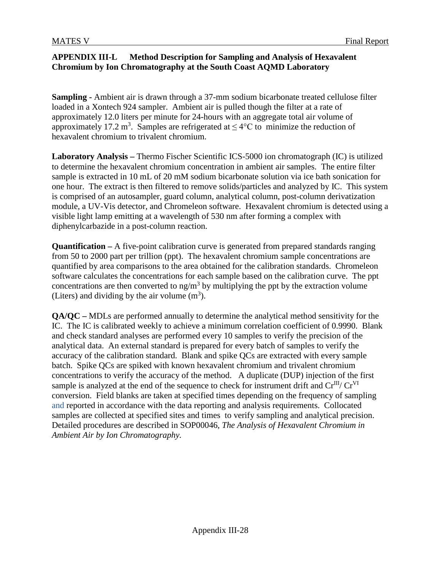#### **APPENDIX III-L Method Description for Sampling and Analysis of Hexavalent Chromium by Ion Chromatography at the South Coast AQMD Laboratory**

**Sampling -** Ambient air is drawn through a 37-mm sodium bicarbonate treated cellulose filter loaded in a Xontech 924 sampler. Ambient air is pulled though the filter at a rate of approximately 12.0 liters per minute for 24-hours with an aggregate total air volume of approximately 17.2 m<sup>3</sup>. Samples are refrigerated at  $\leq 4$ °C to minimize the reduction of hexavalent chromium to trivalent chromium.

**Laboratory Analysis –** Thermo Fischer Scientific ICS-5000 ion chromatograph (IC) is utilized to determine the hexavalent chromium concentration in ambient air samples. The entire filter sample is extracted in 10 mL of 20 mM sodium bicarbonate solution via ice bath sonication for one hour. The extract is then filtered to remove solids/particles and analyzed by IC. This system is comprised of an autosampler, guard column, analytical column, post-column derivatization module, a UV-Vis detector, and Chromeleon software. Hexavalent chromium is detected using a visible light lamp emitting at a wavelength of 530 nm after forming a complex with diphenylcarbazide in a post-column reaction.

**Quantification –** A five-point calibration curve is generated from prepared standards ranging from 50 to 2000 part per trillion (ppt). The hexavalent chromium sample concentrations are quantified by area comparisons to the area obtained for the calibration standards. Chromeleon software calculates the concentrations for each sample based on the calibration curve. The ppt concentrations are then converted to  $ng/m<sup>3</sup>$  by multiplying the ppt by the extraction volume (Liters) and dividing by the air volume  $(m<sup>3</sup>)$ .

**QA/QC –** MDLs are performed annually to determine the analytical method sensitivity for the IC. The IC is calibrated weekly to achieve a minimum correlation coefficient of 0.9990. Blank and check standard analyses are performed every 10 samples to verify the precision of the analytical data. An external standard is prepared for every batch of samples to verify the accuracy of the calibration standard. Blank and spike QCs are extracted with every sample batch. Spike QCs are spiked with known hexavalent chromium and trivalent chromium concentrations to verify the accuracy of the method. A duplicate (DUP) injection of the first sample is analyzed at the end of the sequence to check for instrument drift and  $Cr^{III}/Cr^{VI}$ conversion. Field blanks are taken at specified times depending on the frequency of sampling and reported in accordance with the data reporting and analysis requirements. Collocated samples are collected at specified sites and times to verify sampling and analytical precision. Detailed procedures are described in SOP00046, *The Analysis of Hexavalent Chromium in Ambient Air by Ion Chromatography.*